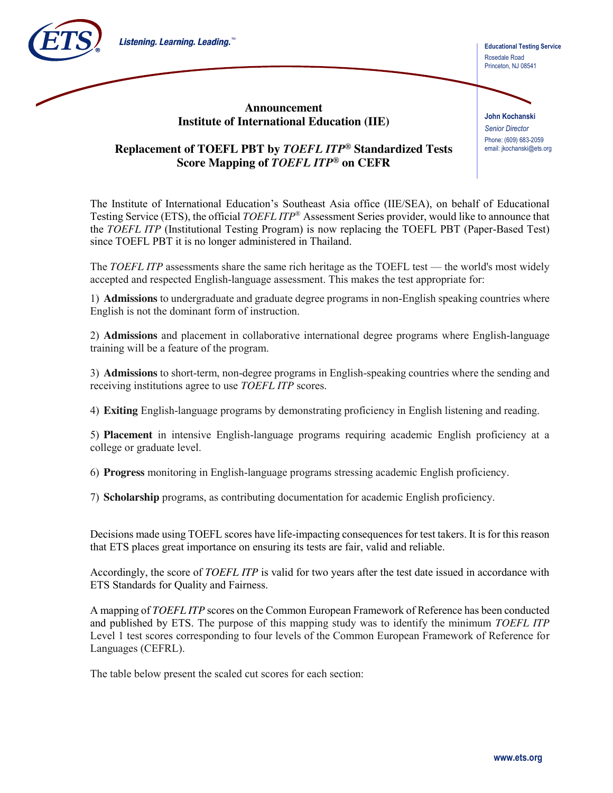





**John Kochanski** *Senior Director* Phone: (609) 683-2059 email: jkochanski@ets.org

## **Replacement of TOEFL PBT by** *TOEFL ITP***® Standardized Tests Score Mapping of** *TOEFL ITP***® on CEFR**

The Institute of International Education's Southeast Asia office (IIE/SEA), on behalf of Educational Testing Service (ETS), the official *TOEFL ITP*® Assessment Series provider, would like to announce that the *TOEFL ITP* (Institutional Testing Program) is now replacing the TOEFL PBT (Paper-Based Test) since TOEFL PBT it is no longer administered in Thailand.

The *TOEFL ITP* assessments share the same rich heritage as the TOEFL test — the world's most widely accepted and respected English-language assessment. This makes the test appropriate for:

1) **Admissions** to undergraduate and graduate degree programs in non-English speaking countries where English is not the dominant form of instruction.

2) **Admissions** and placement in collaborative international degree programs where English-language training will be a feature of the program.

3) **Admissions** to short-term, non-degree programs in English-speaking countries where the sending and receiving institutions agree to use *TOEFL ITP* scores.

4) **Exiting** English-language programs by demonstrating proficiency in English listening and reading.

5) **Placement** in intensive English-language programs requiring academic English proficiency at a college or graduate level.

6) **Progress** monitoring in English-language programs stressing academic English proficiency.

7) **Scholarship** programs, as contributing documentation for academic English proficiency.

Decisions made using TOEFL scores have life-impacting consequences for test takers. It is for this reason that ETS places great importance on ensuring its tests are fair, valid and reliable.

Accordingly, the score of *TOEFL ITP* is valid for two years after the test date issued in accordance with ETS Standards for Quality and Fairness.

A mapping of *TOEFL ITP* scores on the Common European Framework of Reference has been conducted and published by ETS. The purpose of this mapping study was to identify the minimum *TOEFL ITP* Level 1 test scores corresponding to four levels of the Common European Framework of Reference for Languages (CEFRL).

The table below present the scaled cut scores for each section: